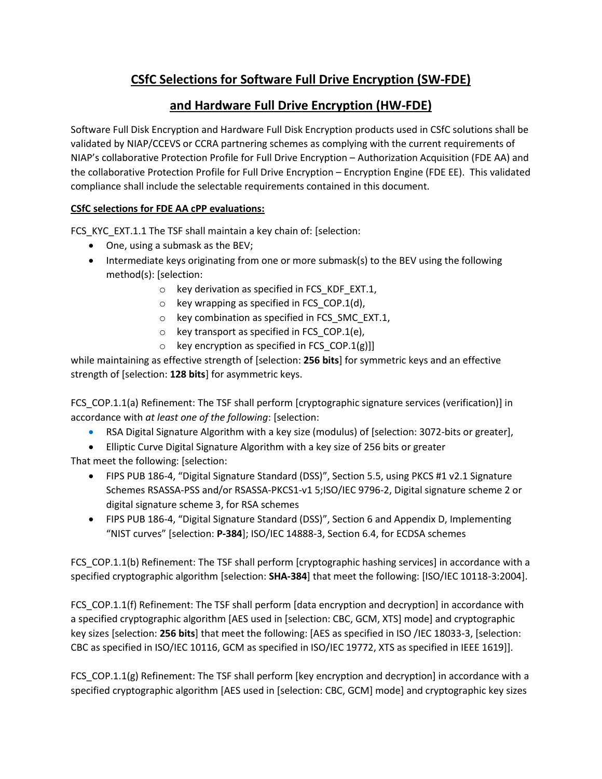## **CSfC Selections for Software Full Drive Encryption (SW-FDE)**

## **and Hardware Full Drive Encryption (HW-FDE)**

Software Full Disk Encryption and Hardware Full Disk Encryption products used in CSfC solutions shall be validated by NIAP/CCEVS or CCRA partnering schemes as complying with the current requirements of NIAP's collaborative Protection Profile for Full Drive Encryption – Authorization Acquisition (FDE AA) and the collaborative Protection Profile for Full Drive Encryption – Encryption Engine (FDE EE). This validated compliance shall include the selectable requirements contained in this document.

## **CSfC selections for FDE AA cPP evaluations:**

FCS\_KYC\_EXT.1.1 The TSF shall maintain a key chain of: [selection:

- One, using a submask as the BEV;
- Intermediate keys originating from one or more submask(s) to the BEV using the following method(s): [selection:
	- $\circ$  key derivation as specified in FCS KDF EXT.1,
		- $\circ$  key wrapping as specified in FCS\_COP.1(d),
		- o key combination as specified in FCS\_SMC\_EXT.1,
		- $\circ$  key transport as specified in FCS COP.1(e),
		- $\circ$  key encryption as specified in FCS\_COP.1(g)]]

while maintaining as effective strength of [selection: **256 bits**] for symmetric keys and an effective strength of [selection: **128 bits**] for asymmetric keys.

FCS\_COP.1.1(a) Refinement: The TSF shall perform [cryptographic signature services (verification)] in accordance with *at least one of the following*: [selection:

- RSA Digital Signature Algorithm with a key size (modulus) of [selection: 3072-bits or greater],
- Elliptic Curve Digital Signature Algorithm with a key size of 256 bits or greater That meet the following: [selection:
	- FIPS PUB 186-4, "Digital Signature Standard (DSS)", Section 5.5, using PKCS #1 v2.1 Signature Schemes RSASSA-PSS and/or RSASSA-PKCS1-v1 5;ISO/IEC 9796-2, Digital signature scheme 2 or digital signature scheme 3, for RSA schemes
	- FIPS PUB 186-4, "Digital Signature Standard (DSS)", Section 6 and Appendix D, Implementing "NIST curves" [selection: **P-384**]; ISO/IEC 14888-3, Section 6.4, for ECDSA schemes

FCS\_COP.1.1(b) Refinement: The TSF shall perform [cryptographic hashing services] in accordance with a specified cryptographic algorithm [selection: **SHA-384**] that meet the following: [ISO/IEC 10118-3:2004].

FCS\_COP.1.1(f) Refinement: The TSF shall perform [data encryption and decryption] in accordance with a specified cryptographic algorithm [AES used in [selection: CBC, GCM, XTS] mode] and cryptographic key sizes [selection: **256 bits**] that meet the following: [AES as specified in ISO /IEC 18033-3, [selection: CBC as specified in ISO/IEC 10116, GCM as specified in ISO/IEC 19772, XTS as specified in IEEE 1619]].

FCS COP.1.1(g) Refinement: The TSF shall perform [key encryption and decryption] in accordance with a specified cryptographic algorithm [AES used in [selection: CBC, GCM] mode] and cryptographic key sizes